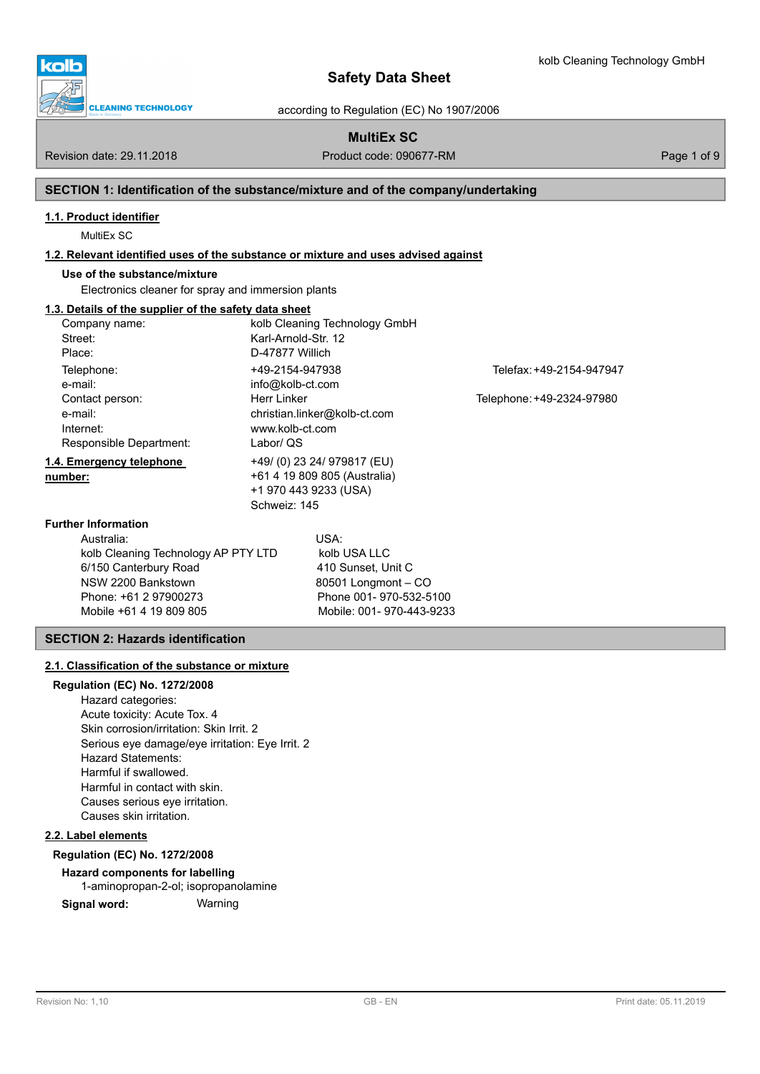

according to Regulation (EC) No 1907/2006

# **MultiEx SC**

Revision date: 29.11.2018 **Product code: 090677-RM** Product code: 090677-RM Page 1 of 9

# **SECTION 1: Identification of the substance/mixture and of the company/undertaking**

# **1.1. Product identifier**

MultiEx SC

# **1.2. Relevant identified uses of the substance or mixture and uses advised against**

Mobile +61 4 19 809 805 Mobile: 001- 970-443-9233

# **Use of the substance/mixture**

Electronics cleaner for spray and immersion plants

# **1.3. Details of the supplier of the safety data sheet**

| Company name:                       |                     | kolb Cleaning Technology GmbH |                           |
|-------------------------------------|---------------------|-------------------------------|---------------------------|
| Street:                             | Karl-Arnold-Str. 12 |                               |                           |
| Place:                              | D-47877 Willich     |                               |                           |
| Telephone:                          | +49-2154-947938     |                               | Telefax: +49-2154-947947  |
| e-mail:                             | info@kolb-ct.com    |                               |                           |
| Contact person:                     | Herr Linker         |                               | Telephone: +49-2324-97980 |
| e-mail:                             |                     | christian.linker@kolb-ct.com  |                           |
| Internet:                           | www.kolb-ct.com     |                               |                           |
| Responsible Department:             | Labor/ QS           |                               |                           |
| 1.4. Emergency telephone            |                     | +49/(0) 23 24/ 979817 (EU)    |                           |
| number:                             |                     | +61 4 19 809 805 (Australia)  |                           |
|                                     |                     | +1 970 443 9233 (USA)         |                           |
|                                     | Schweiz: 145        |                               |                           |
| <b>Further Information</b>          |                     |                               |                           |
| Australia:                          |                     | USA:                          |                           |
| kolb Cleaning Technology AP PTY LTD |                     | kolb USA LLC                  |                           |
| 6/150 Canterbury Road               |                     | 410 Sunset, Unit C            |                           |
| NSW 2200 Bankstown                  |                     | 80501 Longmont - CO           |                           |
| Phone: +61 2 97900273               |                     | Phone 001-970-532-5100        |                           |

### **SECTION 2: Hazards identification**

## **2.1. Classification of the substance or mixture**

## **Regulation (EC) No. 1272/2008**

Hazard categories: Acute toxicity: Acute Tox. 4 Skin corrosion/irritation: Skin Irrit. 2 Serious eye damage/eye irritation: Eye Irrit. 2 Hazard Statements: Harmful if swallowed. Harmful in contact with skin. Causes serious eye irritation. Causes skin irritation.

# **2.2. Label elements**

### **Regulation (EC) No. 1272/2008**

### **Hazard components for labelling**

1-aminopropan-2-ol; isopropanolamine

**Signal word:** Warning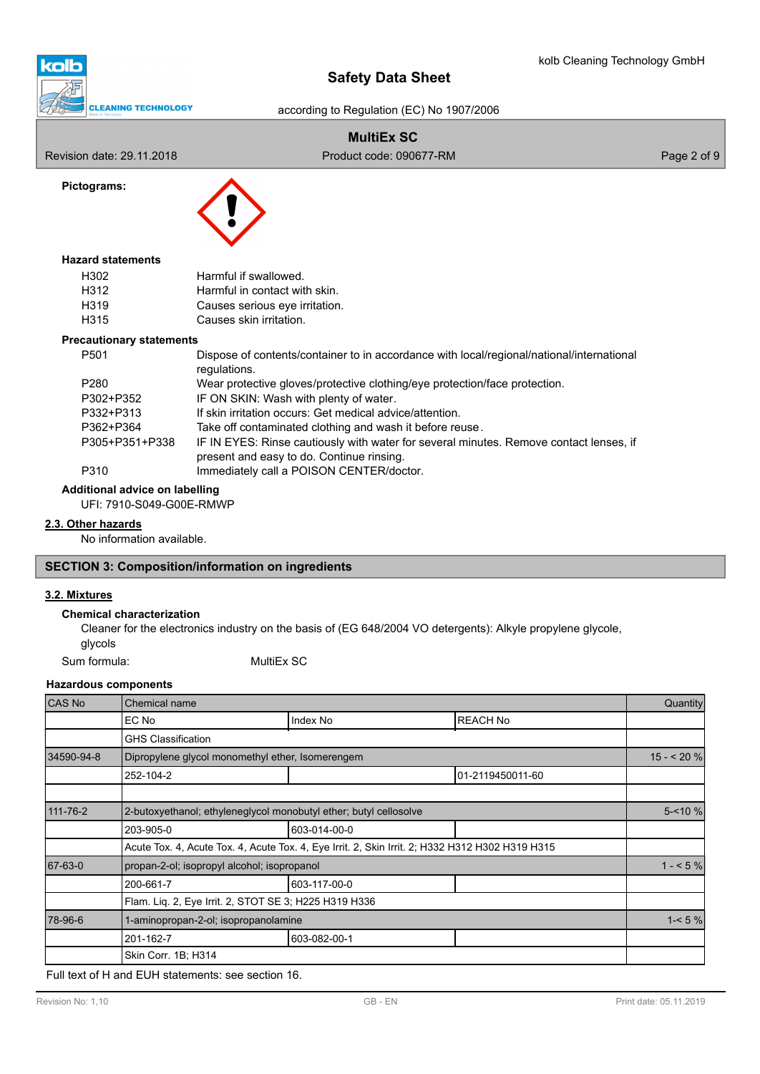

according to Regulation (EC) No 1907/2006

# **MultiEx SC**

**Pictograms:**

Revision date: 29.11.2018 **Product code: 090677-RM** Product code: 090677-RM



## **Hazard statements**

| H302 | Harmful if swallowed.          |
|------|--------------------------------|
| H312 | Harmful in contact with skin.  |
| H319 | Causes serious eye irritation. |
| H315 | Causes skin irritation.        |

### **Precautionary statements**

| P <sub>501</sub> | Dispose of contents/container to in accordance with local/regional/national/international<br>regulations.                           |
|------------------|-------------------------------------------------------------------------------------------------------------------------------------|
| P <sub>280</sub> | Wear protective gloves/protective clothing/eye protection/face protection.                                                          |
| P302+P352        | IF ON SKIN: Wash with plenty of water.                                                                                              |
| P332+P313        | If skin irritation occurs: Get medical advice/attention.                                                                            |
| P362+P364        | Take off contaminated clothing and wash it before reuse.                                                                            |
| P305+P351+P338   | IF IN EYES: Rinse cautiously with water for several minutes. Remove contact lenses, if<br>present and easy to do. Continue rinsing. |
| P310             | Immediately call a POISON CENTER/doctor.                                                                                            |

**Additional advice on labelling**

UFI: 7910-S049-G00E-RMWP

## **2.3. Other hazards**

No information available.

## **SECTION 3: Composition/information on ingredients**

# **3.2. Mixtures**

## **Chemical characterization**

Cleaner for the electronics industry on the basis of (EG 648/2004 VO detergents): Alkyle propylene glycole, glycols

Sum formula: MultiEx SC

### **Hazardous components**

| <b>CAS No</b> | Chemical name                                                     |                                                                                                 |                  | <b>Quantity</b> |
|---------------|-------------------------------------------------------------------|-------------------------------------------------------------------------------------------------|------------------|-----------------|
|               | EC No                                                             | Index No                                                                                        | <b>REACH No</b>  |                 |
|               | <b>GHS Classification</b>                                         |                                                                                                 |                  |                 |
| 34590-94-8    | Dipropylene glycol monomethyl ether, Isomerengem                  |                                                                                                 |                  | $15 - 20%$      |
|               | 252-104-2                                                         |                                                                                                 | 01-2119450011-60 |                 |
|               |                                                                   |                                                                                                 |                  |                 |
| 111-76-2      | 2-butoxyethanol; ethyleneglycol monobutyl ether; butyl cellosolve |                                                                                                 |                  |                 |
|               | 203-905-0                                                         | 603-014-00-0                                                                                    |                  |                 |
|               |                                                                   | Acute Tox. 4, Acute Tox. 4, Acute Tox. 4, Eye Irrit. 2, Skin Irrit. 2; H332 H312 H302 H319 H315 |                  |                 |
| 67-63-0       | propan-2-ol; isopropyl alcohol; isopropanol                       |                                                                                                 |                  | $1 - 5\%$       |
|               | 200-661-7                                                         | 603-117-00-0                                                                                    |                  |                 |
|               | Flam. Liq. 2, Eye Irrit. 2, STOT SE 3; H225 H319 H336             |                                                                                                 |                  |                 |
| 78-96-6       | 1-aminopropan-2-ol; isopropanolamine                              |                                                                                                 |                  |                 |
|               | 201-162-7                                                         | 603-082-00-1                                                                                    |                  |                 |
|               | Skin Corr. 1B; H314                                               |                                                                                                 |                  |                 |

Full text of H and EUH statements: see section 16.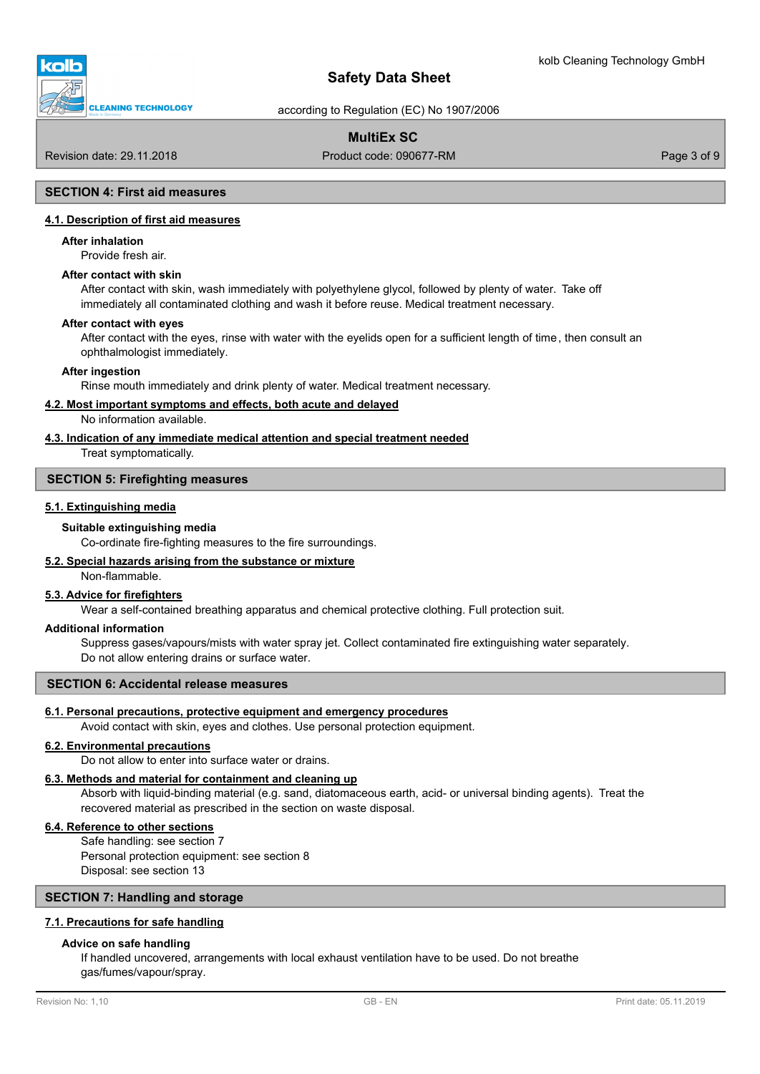

according to Regulation (EC) No 1907/2006

# **MultiEx SC**

Revision date: 29.11.2018 **Product code: 090677-RM** Product code: 090677-RM Page 3 of 9

### **SECTION 4: First aid measures**

#### **4.1. Description of first aid measures**

#### **After inhalation**

Provide fresh air.

### **After contact with skin**

After contact with skin, wash immediately with polyethylene glycol, followed by plenty of water. Take off immediately all contaminated clothing and wash it before reuse. Medical treatment necessary.

#### **After contact with eyes**

After contact with the eyes, rinse with water with the eyelids open for a sufficient length of time, then consult an ophthalmologist immediately.

#### **After ingestion**

Rinse mouth immediately and drink plenty of water. Medical treatment necessary.

#### **4.2. Most important symptoms and effects, both acute and delayed**

No information available.

### **4.3. Indication of any immediate medical attention and special treatment needed**

Treat symptomatically.

### **SECTION 5: Firefighting measures**

#### **5.1. Extinguishing media**

#### **Suitable extinguishing media**

Co-ordinate fire-fighting measures to the fire surroundings.

## **5.2. Special hazards arising from the substance or mixture**

## Non-flammable.

### **5.3. Advice for firefighters**

Wear a self-contained breathing apparatus and chemical protective clothing. Full protection suit.

#### **Additional information**

Suppress gases/vapours/mists with water spray jet. Collect contaminated fire extinguishing water separately. Do not allow entering drains or surface water.

### **SECTION 6: Accidental release measures**

### **6.1. Personal precautions, protective equipment and emergency procedures**

Avoid contact with skin, eyes and clothes. Use personal protection equipment.

#### **6.2. Environmental precautions**

Do not allow to enter into surface water or drains.

## **6.3. Methods and material for containment and cleaning up**

Absorb with liquid-binding material (e.g. sand, diatomaceous earth, acid- or universal binding agents). Treat the recovered material as prescribed in the section on waste disposal.

### **6.4. Reference to other sections**

Safe handling: see section 7 Personal protection equipment: see section 8 Disposal: see section 13

## **SECTION 7: Handling and storage**

## **7.1. Precautions for safe handling**

### **Advice on safe handling**

If handled uncovered, arrangements with local exhaust ventilation have to be used. Do not breathe gas/fumes/vapour/spray.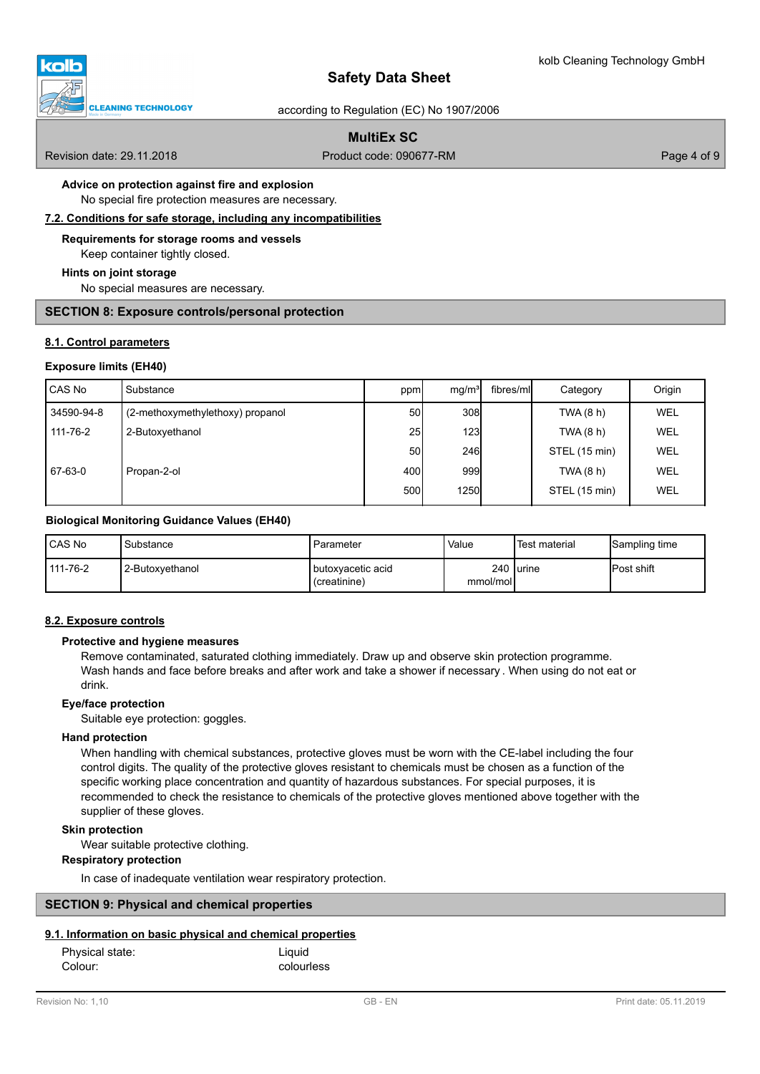

according to Regulation (EC) No 1907/2006

# **MultiEx SC**

Revision date: 29.11.2018 **Product code: 090677-RM** Product code: 090677-RM Page 4 of 9

# **Advice on protection against fire and explosion**

No special fire protection measures are necessary.

**7.2. Conditions for safe storage, including any incompatibilities**

### **Requirements for storage rooms and vessels**

Keep container tightly closed.

#### **Hints on joint storage**

No special measures are necessary.

### **SECTION 8: Exposure controls/personal protection**

## **8.1. Control parameters**

### **Exposure limits (EH40)**

| l CAS No   | l Substance                      | ppm             | mq/m <sup>3</sup> | fibres/mll | Category      | Origin     |
|------------|----------------------------------|-----------------|-------------------|------------|---------------|------------|
| 34590-94-8 | (2-methoxymethylethoxy) propanol | 50 <sup>1</sup> | 308               |            | TWA (8 h)     | <b>WEL</b> |
| 111-76-2   | 2-Butoxyethanol                  | 25              | 123               |            | TWA (8 h)     | WEL        |
|            |                                  | 50              | 246               |            | STEL (15 min) | WEL        |
| 67-63-0    | Propan-2-ol                      | 400l            | 999               |            | TWA (8 h)     | WEL        |
|            |                                  | 500l            | 1250              |            | STEL (15 min) | <b>WEL</b> |

### **Biological Monitoring Guidance Values (EH40)**

| CAS No   | Substance        | Parameter                                  | Value    | <sup>I</sup> Test material | Sampling time      |
|----------|------------------|--------------------------------------------|----------|----------------------------|--------------------|
| 111-76-2 | 12-Butoxvethanol | <b>I</b> butoxvacetic acid<br>(creatinine) | mmol/mol | 240 Iurine                 | <b>IPost shift</b> |

### **8.2. Exposure controls**

## **Protective and hygiene measures**

Remove contaminated, saturated clothing immediately. Draw up and observe skin protection programme. Wash hands and face before breaks and after work and take a shower if necessary . When using do not eat or drink.

### **Eye/face protection**

Suitable eye protection: goggles.

### **Hand protection**

When handling with chemical substances, protective gloves must be worn with the CE-label including the four control digits. The quality of the protective gloves resistant to chemicals must be chosen as a function of the specific working place concentration and quantity of hazardous substances. For special purposes, it is recommended to check the resistance to chemicals of the protective gloves mentioned above together with the supplier of these gloves.

### **Skin protection**

Wear suitable protective clothing.

## **Respiratory protection**

In case of inadequate ventilation wear respiratory protection.

## **SECTION 9: Physical and chemical properties**

### **9.1. Information on basic physical and chemical properties**

| Physical state: | Liquid     |
|-----------------|------------|
| Colour:         | colourless |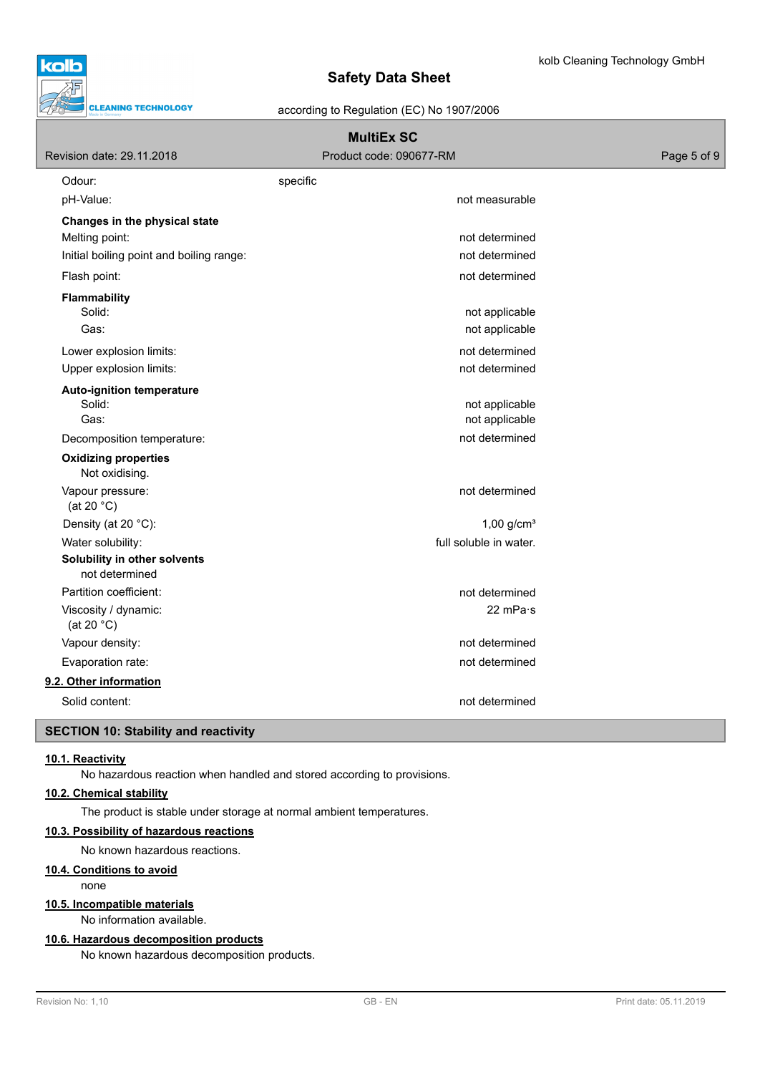

according to Regulation (EC) No 1907/2006

| Revision date: 29.11.2018                      | <b>MultiEx SC</b><br>Product code: 090677-RM | Page 5 of 9 |
|------------------------------------------------|----------------------------------------------|-------------|
| Odour:                                         | specific                                     |             |
| pH-Value:                                      | not measurable                               |             |
| Changes in the physical state                  |                                              |             |
| Melting point:                                 | not determined                               |             |
| Initial boiling point and boiling range:       | not determined                               |             |
| Flash point:                                   | not determined                               |             |
| <b>Flammability</b>                            |                                              |             |
| Solid:                                         | not applicable                               |             |
| Gas:                                           | not applicable                               |             |
| Lower explosion limits:                        | not determined                               |             |
| Upper explosion limits:                        | not determined                               |             |
| <b>Auto-ignition temperature</b>               |                                              |             |
| Solid:                                         | not applicable                               |             |
| Gas:                                           | not applicable                               |             |
| Decomposition temperature:                     | not determined                               |             |
| <b>Oxidizing properties</b><br>Not oxidising.  |                                              |             |
| Vapour pressure:<br>(at 20 $°C$ )              | not determined                               |             |
| Density (at 20 °C):                            | $1,00$ g/cm <sup>3</sup>                     |             |
| Water solubility:                              | full soluble in water.                       |             |
| Solubility in other solvents<br>not determined |                                              |             |
| Partition coefficient:                         | not determined                               |             |
| Viscosity / dynamic:<br>(at 20 $°C$ )          | 22 mPa·s                                     |             |
| Vapour density:                                | not determined                               |             |
| Evaporation rate:                              | not determined                               |             |
| 9.2. Other information                         |                                              |             |
| Solid content:                                 | not determined                               |             |
| <b>SECTION 10: Stability and reactivity</b>    |                                              |             |

## **10.1. Reactivity**

No hazardous reaction when handled and stored according to provisions.

# **10.2. Chemical stability**

The product is stable under storage at normal ambient temperatures.

### **10.3. Possibility of hazardous reactions**

No known hazardous reactions.

### **10.4. Conditions to avoid**

none

### **10.5. Incompatible materials**

No information available.

### **10.6. Hazardous decomposition products**

No known hazardous decomposition products.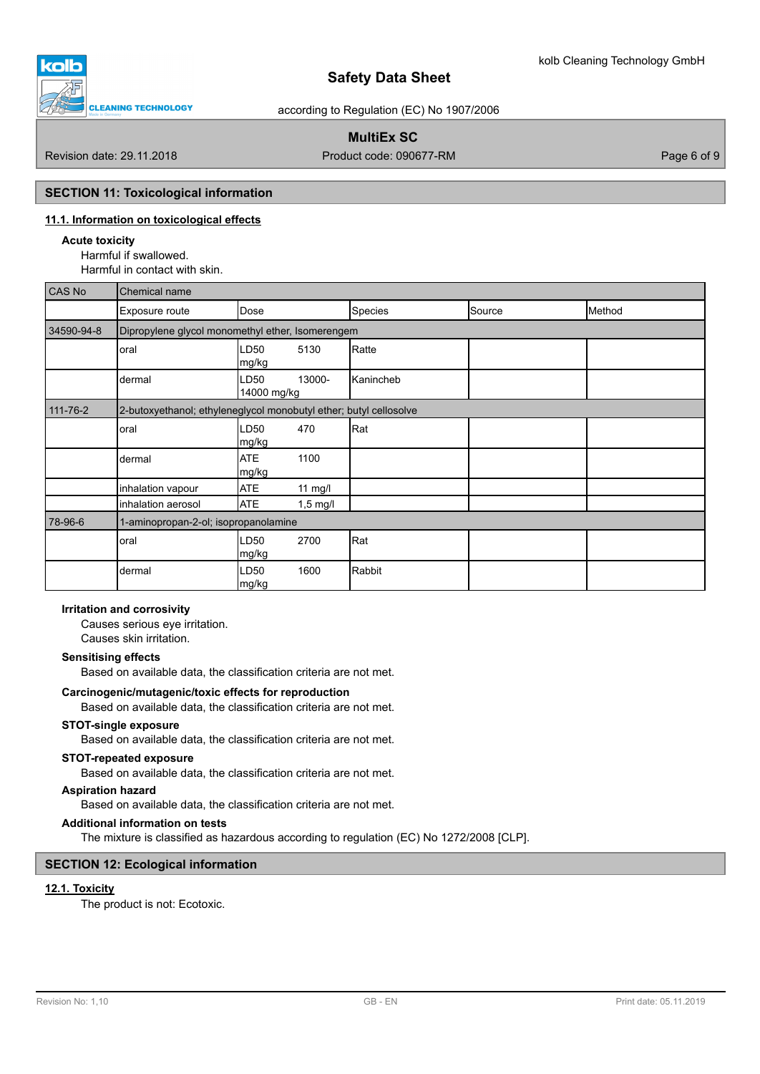![](_page_5_Picture_0.jpeg)

according to Regulation (EC) No 1907/2006

# **MultiEx SC**

Revision date: 29.11.2018 **Product code: 090677-RM** Product code: 090677-RM Page 6 of 9

## **SECTION 11: Toxicological information**

# **11.1. Information on toxicological effects**

### **Acute toxicity**

Harmful if swallowed. Harmful in contact with skin.

| <b>CAS No</b>  | Chemical name                                                     |                               |           |        |        |  |
|----------------|-------------------------------------------------------------------|-------------------------------|-----------|--------|--------|--|
|                | Exposure route                                                    | Dose                          | Species   | Source | Method |  |
| 34590-94-8     | Dipropylene glycol monomethyl ether, Isomerengem                  |                               |           |        |        |  |
|                | oral                                                              | LD50<br>5130<br> mg/kg        | Ratte     |        |        |  |
|                | dermal                                                            | 13000-<br>LD50<br>14000 mg/kg | Kanincheb |        |        |  |
| $111 - 76 - 2$ | 2-butoxyethanol; ethyleneglycol monobutyl ether; butyl cellosolve |                               |           |        |        |  |
|                | oral                                                              | LD50<br>470<br>mg/kg          | Rat       |        |        |  |
|                | dermal                                                            | <b>ATE</b><br>1100<br>mg/kg   |           |        |        |  |
|                | inhalation vapour                                                 | <b>ATE</b><br>$11$ mg/l       |           |        |        |  |
|                | inhalation aerosol                                                | <b>ATE</b><br>$1,5$ mg/l      |           |        |        |  |
| 78-96-6        | 1-aminopropan-2-ol; isopropanolamine                              |                               |           |        |        |  |
|                | oral                                                              | LD50<br>2700<br> mg/kg        | Rat       |        |        |  |
|                | dermal                                                            | 1600<br>LD50<br>mg/kg         | Rabbit    |        |        |  |

## **Irritation and corrosivity**

Causes serious eye irritation. Causes skin irritation.

### **Sensitising effects**

Based on available data, the classification criteria are not met.

### **Carcinogenic/mutagenic/toxic effects for reproduction**

Based on available data, the classification criteria are not met.

## **STOT-single exposure**

Based on available data, the classification criteria are not met.

## **STOT-repeated exposure**

Based on available data, the classification criteria are not met.

## **Aspiration hazard**

Based on available data, the classification criteria are not met.

## **Additional information on tests**

The mixture is classified as hazardous according to regulation (EC) No 1272/2008 [CLP].

# **SECTION 12: Ecological information**

## **12.1. Toxicity**

The product is not: Ecotoxic.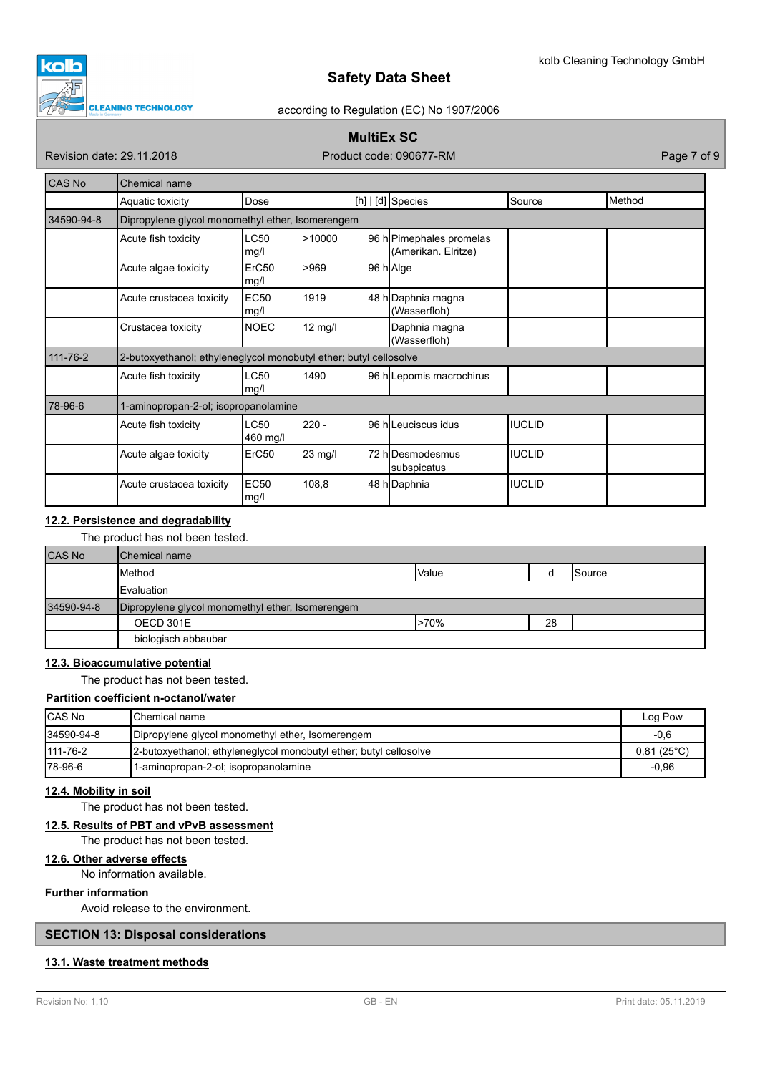![](_page_6_Picture_1.jpeg)

### according to Regulation (EC) No 1907/2006

# **MultiEx SC**

Revision date: 29.11.2018 **Product code: 090677-RM** Product code: 090677-RM

| CAS No     | <b>Chemical name</b>                                              |                           |                   |  |                                                 |               |        |
|------------|-------------------------------------------------------------------|---------------------------|-------------------|--|-------------------------------------------------|---------------|--------|
|            | Aquatic toxicity                                                  | Dose                      |                   |  | $[h]   [d]$ Species                             | Source        | Method |
| 34590-94-8 | Dipropylene glycol monomethyl ether, Isomerengem                  |                           |                   |  |                                                 |               |        |
|            | Acute fish toxicity                                               | <b>LC50</b><br>mg/l       | >10000            |  | 96 h Pimephales promelas<br>(Amerikan. Elritze) |               |        |
|            | Acute algae toxicity                                              | ErC <sub>50</sub><br>mg/l | >969              |  | 96 h Alge                                       |               |        |
|            | Acute crustacea toxicity                                          | <b>EC50</b><br>mg/l       | 1919              |  | 48 h Daphnia magna<br>(Wasserfloh)              |               |        |
|            | Crustacea toxicity                                                | <b>NOEC</b>               | $12 \text{ mg/l}$ |  | Daphnia magna<br>(Wasserfloh)                   |               |        |
| 111-76-2   | 2-butoxyethanol; ethyleneglycol monobutyl ether; butyl cellosolve |                           |                   |  |                                                 |               |        |
|            | Acute fish toxicity                                               | <b>LC50</b><br>mg/l       | 1490              |  | 96 h Lepomis macrochirus                        |               |        |
| 78-96-6    | 1-aminopropan-2-ol; isopropanolamine                              |                           |                   |  |                                                 |               |        |
|            | Acute fish toxicity                                               | <b>LC50</b><br>460 mg/l   | $220 -$           |  | 96 hlLeuciscus idus                             | IIUCLID       |        |
|            | Acute algae toxicity                                              | ErC50                     | 23 mg/l           |  | 72 hlDesmodesmus<br>subspicatus                 | <b>IUCLID</b> |        |
|            | Acute crustacea toxicity                                          | <b>EC50</b><br>mg/l       | 108,8             |  | 48 h Daphnia                                    | <b>IUCLID</b> |        |

## **12.2. Persistence and degradability**

The product has not been tested.

| <b>CAS No</b> | <b>I</b> Chemical name                           |         |    |                 |
|---------------|--------------------------------------------------|---------|----|-----------------|
|               | <b>I</b> Method                                  | Value   |    | <b>I</b> Source |
|               | <b>IEvaluation</b>                               |         |    |                 |
| 34590-94-8    | Dipropylene glycol monomethyl ether, Isomerengem |         |    |                 |
|               | OECD 301E                                        | $>70\%$ | 28 |                 |
|               | biologisch abbaubar                              |         |    |                 |

## **12.3. Bioaccumulative potential**

The product has not been tested.

### **Partition coefficient n-octanol/water**

| <b>ICAS No</b> | <b>I</b> Chemical name                                            | Log Pow             |
|----------------|-------------------------------------------------------------------|---------------------|
| 34590-94-8     | Dipropylene glycol monomethyl ether, Isomerengem                  | $-0.6$              |
| $111 - 76 - 2$ | 2-butoxyethanol; ethyleneglycol monobutyl ether; butyl cellosolve | $0,81(25^{\circ}C)$ |
| 78-96-6        | 1-aminopropan-2-ol; isopropanolamine                              | $-0.96$             |

### **12.4. Mobility in soil**

The product has not been tested.

## **12.5. Results of PBT and vPvB assessment**

The product has not been tested.

## **12.6. Other adverse effects**

No information available.

# **Further information**

Avoid release to the environment.

## **SECTION 13: Disposal considerations**

### **13.1. Waste treatment methods**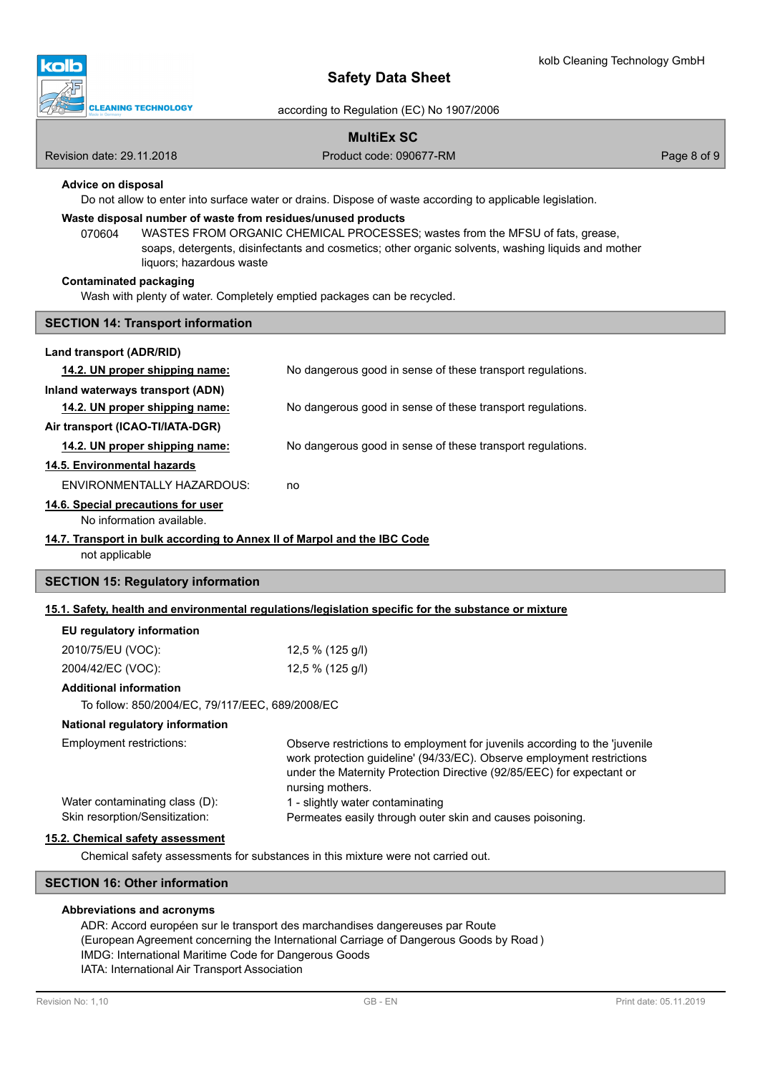![](_page_7_Picture_1.jpeg)

according to Regulation (EC) No 1907/2006

# **MultiEx SC**

Revision date: 29.11.2018 **Product code: 090677-RM** Product code: 090677-RM Page 8 of 9

## **Advice on disposal**

Do not allow to enter into surface water or drains. Dispose of waste according to applicable legislation.

## **Waste disposal number of waste from residues/unused products**

070604 WASTES FROM ORGANIC CHEMICAL PROCESSES; wastes from the MFSU of fats, grease, soaps, detergents, disinfectants and cosmetics; other organic solvents, washing liquids and mother liquors; hazardous waste

#### **Contaminated packaging**

Wash with plenty of water. Completely emptied packages can be recycled.

### **SECTION 14: Transport information**

### **Land transport (ADR/RID)**

| 14.2. UN proper shipping name:                                           | No dangerous good in sense of these transport regulations. |  |
|--------------------------------------------------------------------------|------------------------------------------------------------|--|
| Inland waterways transport (ADN)                                         |                                                            |  |
| 14.2. UN proper shipping name:                                           | No dangerous good in sense of these transport regulations. |  |
| Air transport (ICAO-TI/IATA-DGR)                                         |                                                            |  |
| 14.2. UN proper shipping name:                                           | No dangerous good in sense of these transport regulations. |  |
| 14.5. Environmental hazards                                              |                                                            |  |
| ENVIRONMENTALLY HAZARDOUS:                                               | no                                                         |  |
| 14.6. Special precautions for user                                       |                                                            |  |
| No information available.                                                |                                                            |  |
| 14.7. Transport in bulk according to Annex II of Marpol and the IBC Code |                                                            |  |

#### not applicable

### **SECTION 15: Regulatory information**

### **15.1. Safety, health and environmental regulations/legislation specific for the substance or mixture**

### **EU regulatory information**

| 2010/75/EU (VOC): | 12,5 % (125 g/l) |
|-------------------|------------------|
| 2004/42/EC (VOC): | 12,5 % (125 g/l) |

## **Additional information**

To follow: 850/2004/EC, 79/117/EEC, 689/2008/EC

## **National regulatory information**

| Employment restrictions:       | Observe restrictions to employment for juvenils according to the 'juvenile |
|--------------------------------|----------------------------------------------------------------------------|
|                                | work protection guideline' (94/33/EC). Observe employment restrictions     |
|                                | under the Maternity Protection Directive (92/85/EEC) for expectant or      |
|                                | nursing mothers.                                                           |
| Water contaminating class (D): | 1 - slightly water contaminating                                           |
| Skin resorption/Sensitization: | Permeates easily through outer skin and causes poisoning.                  |
|                                |                                                                            |

### **15.2. Chemical safety assessment**

Chemical safety assessments for substances in this mixture were not carried out.

## **SECTION 16: Other information**

### **Abbreviations and acronyms**

ADR: Accord européen sur le transport des marchandises dangereuses par Route (European Agreement concerning the International Carriage of Dangerous Goods by Road ) IMDG: International Maritime Code for Dangerous Goods IATA: International Air Transport Association